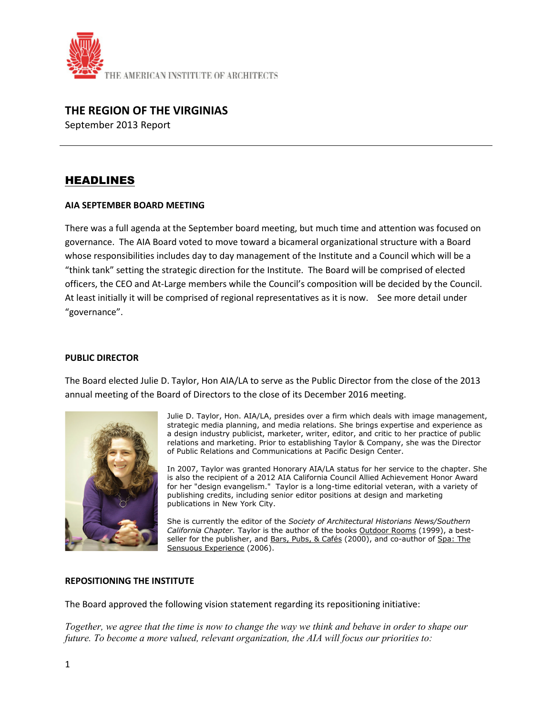

## **THE REGION OF THE VIRGINIAS**

September 2013 Report

# HEADLINES

#### **AIA SEPTEMBER BOARD MEETING**

There was a full agenda at the September board meeting, but much time and attention was focused on governance. The AIA Board voted to move toward a bicameral organizational structure with a Board whose responsibilities includes day to day management of the Institute and a Council which will be a "think tank" setting the strategic direction for the Institute. The Board will be comprised of elected officers, the CEO and At-Large members while the Council's composition will be decided by the Council. At least initially it will be comprised of regional representatives as it is now. See more detail under "governance".

#### **PUBLIC DIRECTOR**

The Board elected Julie D. Taylor, Hon AIA/LA to serve as the Public Director from the close of the 2013 annual meeting of the Board of Directors to the close of its December 2016 meeting.



Julie D. Taylor, Hon. AIA/LA, presides over a firm which deals with image management, strategic media planning, and media relations. She brings expertise and experience as a design industry publicist, marketer, writer, editor, and critic to her practice of public relations and marketing. Prior to establishing Taylor & Company, she was the Director of Public Relations and Communications at Pacific Design Center.

In 2007, Taylor was granted Honorary AIA/LA status for her service to the chapter. She is also the recipient of a 2012 AIA California Council Allied Achievement Honor Award for her "design evangelism." Taylor is a long-time editorial veteran, with a variety of publishing credits, including senior editor positions at design and marketing publications in New York City.

She is currently the editor of the *Society of Architectural Historians News/Southern California Chapter.* Taylor is the author of the books Outdoor Rooms (1999), a bestseller for the publisher, and Bars, Pubs, & Cafés (2000), and co-author of Spa: The Sensuous Experience (2006).

#### **REPOSITIONING THE INSTITUTE**

The Board approved the following vision statement regarding its repositioning initiative:

*Together, we agree that the time is now to change the way we think and behave in order to shape our future. To become a more valued, relevant organization, the AIA will focus our priorities to:*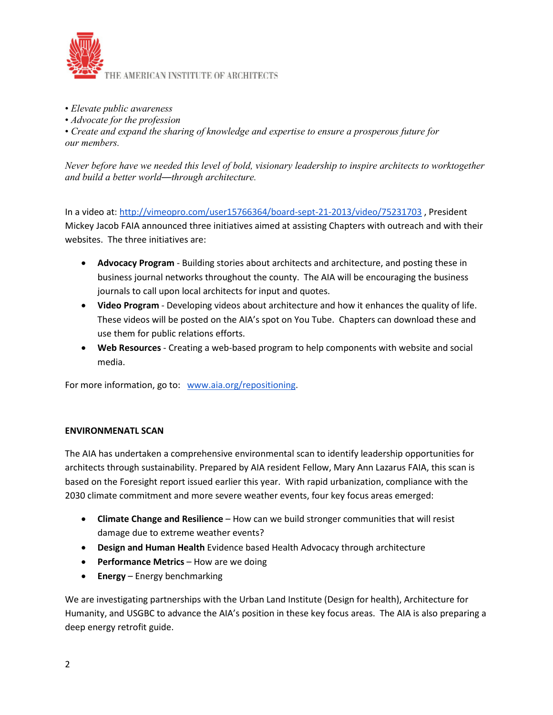

- *Elevate public awareness*
- *Advocate for the profession*

• *Create and expand the sharing of knowledge and expertise to ensure a prosperous future for our members.* 

*Never before have we needed this level of bold, visionary leadership to inspire architects to worktogether and build a better world—through architecture.*

In a video at: [http://vimeopro.com/user15766364/board-sept-21-2013/video/75231703](http://lyris.aia.org/t/1306077/15252575/28399/8/) , President Mickey Jacob FAIA announced three initiatives aimed at assisting Chapters with outreach and with their websites. The three initiatives are:

- **Advocacy Program** Building stories about architects and architecture, and posting these in business journal networks throughout the county. The AIA will be encouraging the business journals to call upon local architects for input and quotes.
- **Video Program** Developing videos about architecture and how it enhances the quality of life. These videos will be posted on the AIA's spot on You Tube. Chapters can download these and use them for public relations efforts.
- **Web Resources** Creating a web-based program to help components with website and social media.

For more information, go to: [www.aia.org/repositioning.](http://lyris.aia.org/t/1306077/15252575/23385/63/)

#### **ENVIRONMENATL SCAN**

The AIA has undertaken a comprehensive environmental scan to identify leadership opportunities for architects through sustainability. Prepared by AIA resident Fellow, Mary Ann Lazarus FAIA, this scan is based on the Foresight report issued earlier this year. With rapid urbanization, compliance with the 2030 climate commitment and more severe weather events, four key focus areas emerged:

- **Climate Change and Resilience** How can we build stronger communities that will resist damage due to extreme weather events?
- **Design and Human Health** Evidence based Health Advocacy through architecture
- **Performance Metrics** How are we doing
- **Energy**  Energy benchmarking

We are investigating partnerships with the Urban Land Institute (Design for health), Architecture for Humanity, and USGBC to advance the AIA's position in these key focus areas. The AIA is also preparing a deep energy retrofit guide.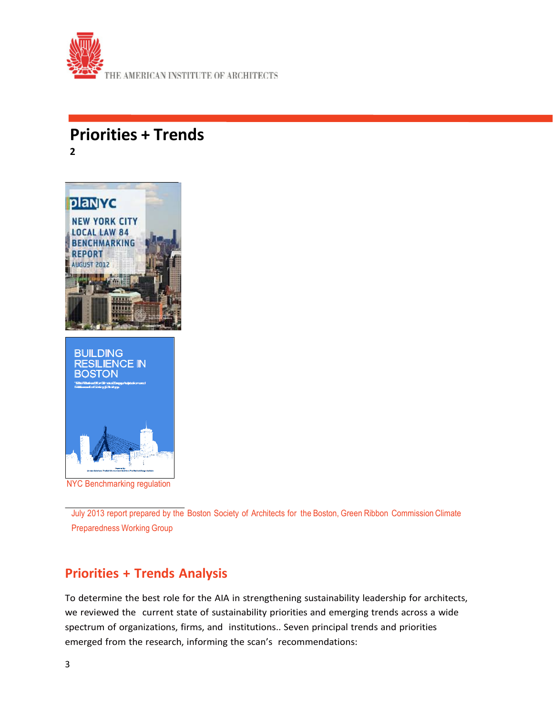

# **Priorities <sup>+</sup> Trends 2**



NYC Benchmarking regulation

July 2013 report prepared by the Boston Society of Architects for the Boston, Green Ribbon Commission Climate Preparedness Working Group

# **Priorities + Trends Analysis**

To determine the best role for the AIA in strengthening sustainability leadership for architects, we reviewed the current state of sustainability priorities and emerging trends across a wide spectrum of organizations, firms, and institutions.. Seven principal trends and priorities emerged from the research, informing the scan's recommendations: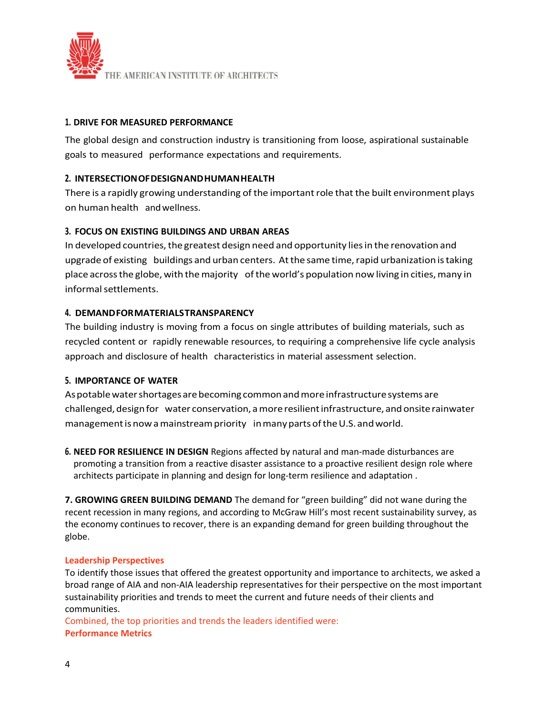

#### **1. DRIVE FOR MEASURED PERFORMANCE**

The global design and construction industry is transitioning from loose, aspirational sustainable goals to measured performance expectations and requirements.

#### **2. INTERSECTIONOFDESIGNANDHUMANHEALTH**

There is a rapidly growing understanding of the important role that the built environment plays on human health andwellness.

#### **3. FOCUS ON EXISTING BUILDINGS AND URBAN AREAS**

In developed countries, the greatest design need and opportunity lies in the renovation and upgrade of existing buildings and urban centers. At the same time, rapid urbanization is taking place across the globe, with the majority of the world's population now living in cities, many in informal settlements.

#### **4. DEMANDFORMATERIALSTRANSPARENCY**

The building industry is moving from a focus on single attributes of building materials, such as recycled content or rapidly renewable resources, to requiring a comprehensive life cycle analysis approach and disclosure of health characteristics in material assessment selection.

#### **5. IMPORTANCE OF WATER**

Aspotablewatershortagesarebecoming commonandmoreinfrastructuresystems are challenged, design for water conservation, a more resilient infrastructure, and onsite rainwater management is now a mainstream priority in many parts of the U.S. and world.

**6. NEED FOR RESILIENCE IN DESIGN** Regions affected by natural and man-made disturbances are promoting a transition from a reactive disaster assistance to a proactive resilient design role where architects participate in planning and design for long-term resilience and adaptation .

**7. GROWING GREEN BUILDING DEMAND** The demand for "green building" did not wane during the recent recession in many regions, and according to McGraw Hill's most recent sustainability survey, as the economy continues to recover, there is an expanding demand for green building throughout the globe.

#### **Leadership Perspectives**

To identify those issues that offered the greatest opportunity and importance to architects, we asked a broad range of AIA and non-AIA leadership representatives for their perspective on the most important sustainability priorities and trends to meet the current and future needs of their clients and communities.

Combined, the top priorities and trends the leaders identified were: **Performance Metrics**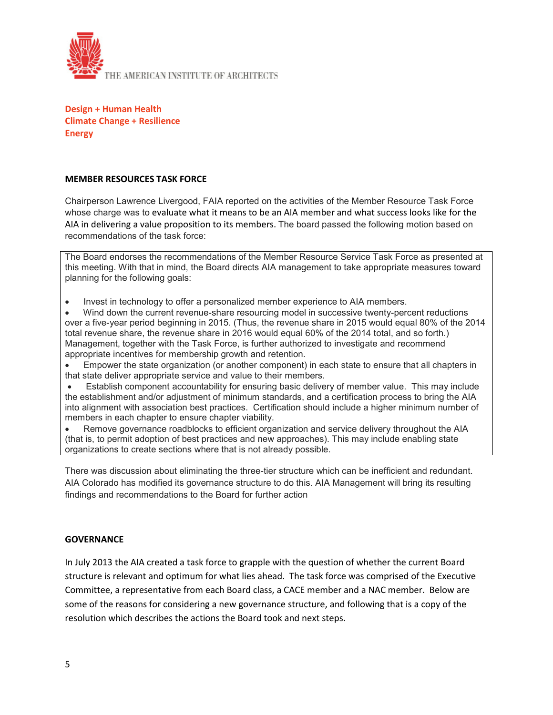

**Design + Human Health Climate Change + Resilience Energy**

#### **MEMBER RESOURCES TASK FORCE**

Chairperson Lawrence Livergood, FAIA reported on the activities of the Member Resource Task Force whose charge was to evaluate what it means to be an AIA member and what success looks like for the AIA in delivering a value proposition to its members. The board passed the following motion based on recommendations of the task force:

The Board endorses the recommendations of the Member Resource Service Task Force as presented at this meeting. With that in mind, the Board directs AIA management to take appropriate measures toward planning for the following goals:

• Invest in technology to offer a personalized member experience to AIA members.

• Wind down the current revenue-share resourcing model in successive twenty-percent reductions over a five-year period beginning in 2015. (Thus, the revenue share in 2015 would equal 80% of the 2014 total revenue share, the revenue share in 2016 would equal 60% of the 2014 total, and so forth.) Management, together with the Task Force, is further authorized to investigate and recommend appropriate incentives for membership growth and retention.

• Empower the state organization (or another component) in each state to ensure that all chapters in that state deliver appropriate service and value to their members.

• Establish component accountability for ensuring basic delivery of member value. This may include the establishment and/or adjustment of minimum standards, and a certification process to bring the AIA into alignment with association best practices. Certification should include a higher minimum number of members in each chapter to ensure chapter viability.

• Remove governance roadblocks to efficient organization and service delivery throughout the AIA (that is, to permit adoption of best practices and new approaches). This may include enabling state organizations to create sections where that is not already possible.

There was discussion about eliminating the three-tier structure which can be inefficient and redundant. AIA Colorado has modified its governance structure to do this. AIA Management will bring its resulting findings and recommendations to the Board for further action

#### **GOVERNANCE**

In July 2013 the AIA created a task force to grapple with the question of whether the current Board structure is relevant and optimum for what lies ahead. The task force was comprised of the Executive Committee, a representative from each Board class, a CACE member and a NAC member. Below are some of the reasons for considering a new governance structure, and following that is a copy of the resolution which describes the actions the Board took and next steps.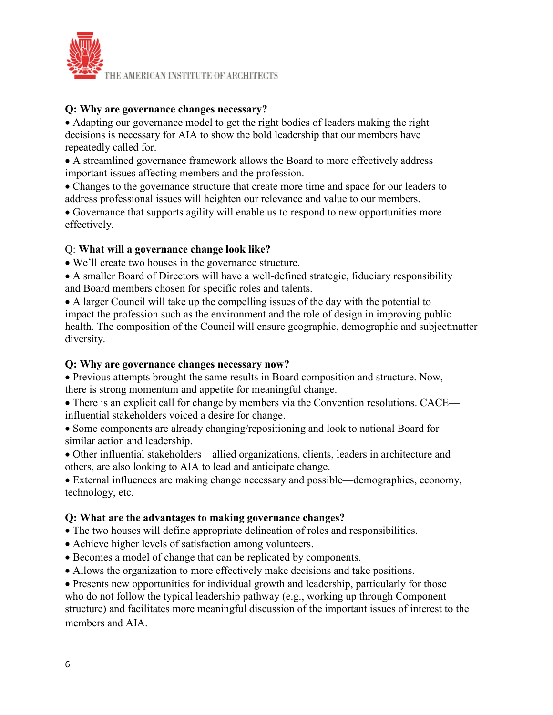

## **Q: Why are governance changes necessary?**

• Adapting our governance model to get the right bodies of leaders making the right decisions is necessary for AIA to show the bold leadership that our members have repeatedly called for.

• A streamlined governance framework allows the Board to more effectively address important issues affecting members and the profession.

• Changes to the governance structure that create more time and space for our leaders to address professional issues will heighten our relevance and value to our members.

• Governance that supports agility will enable us to respond to new opportunities more effectively.

# Q: **What will a governance change look like?**

• We'll create two houses in the governance structure.

• A smaller Board of Directors will have a well-defined strategic, fiduciary responsibility and Board members chosen for specific roles and talents.

• A larger Council will take up the compelling issues of the day with the potential to impact the profession such as the environment and the role of design in improving public health. The composition of the Council will ensure geographic, demographic and subjectmatter diversity.

## **Q: Why are governance changes necessary now?**

• Previous attempts brought the same results in Board composition and structure. Now, there is strong momentum and appetite for meaningful change.

• There is an explicit call for change by members via the Convention resolutions. CACE influential stakeholders voiced a desire for change.

• Some components are already changing/repositioning and look to national Board for similar action and leadership.

• Other influential stakeholders—allied organizations, clients, leaders in architecture and others, are also looking to AIA to lead and anticipate change.

• External influences are making change necessary and possible—demographics, economy, technology, etc.

#### **Q: What are the advantages to making governance changes?**

• The two houses will define appropriate delineation of roles and responsibilities.

- Achieve higher levels of satisfaction among volunteers.
- Becomes a model of change that can be replicated by components.
- Allows the organization to more effectively make decisions and take positions.

• Presents new opportunities for individual growth and leadership, particularly for those who do not follow the typical leadership pathway (e.g., working up through Component structure) and facilitates more meaningful discussion of the important issues of interest to the members and AIA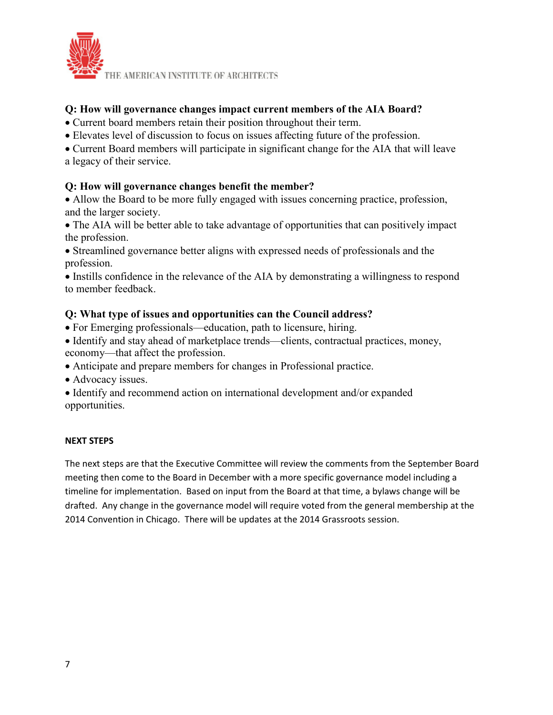

# **Q: How will governance changes impact current members of the AIA Board?**

- Current board members retain their position throughout their term.
- Elevates level of discussion to focus on issues affecting future of the profession.

• Current Board members will participate in significant change for the AIA that will leave

a legacy of their service.

# **Q: How will governance changes benefit the member?**

• Allow the Board to be more fully engaged with issues concerning practice, profession, and the larger society.

• The AIA will be better able to take advantage of opportunities that can positively impact the profession.

• Streamlined governance better aligns with expressed needs of professionals and the profession.

• Instills confidence in the relevance of the AIA by demonstrating a willingness to respond to member feedback.

# **Q: What type of issues and opportunities can the Council address?**

- For Emerging professionals—education, path to licensure, hiring.
- Identify and stay ahead of marketplace trends—clients, contractual practices, money, economy—that affect the profession.
- Anticipate and prepare members for changes in Professional practice.
- Advocacy issues.
- Identify and recommend action on international development and/or expanded opportunities.

#### **NEXT STEPS**

The next steps are that the Executive Committee will review the comments from the September Board meeting then come to the Board in December with a more specific governance model including a timeline for implementation. Based on input from the Board at that time, a bylaws change will be drafted. Any change in the governance model will require voted from the general membership at the 2014 Convention in Chicago. There will be updates at the 2014 Grassroots session.